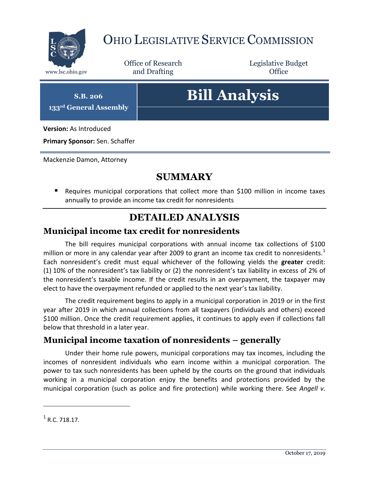

## OHIO LEGISLATIVE SERVICE COMMISSION

Office of Research www.lsc.ohio.gov and Drafting Control Control of Control Control Office

Legislative Budget

**S.B. 206 133rd General Assembly**

# **Bill Analysis**

**Version:** As Introduced

**Primary Sponsor:** Sen. Schaffer

Mackenzie Damon, Attorney

### **SUMMARY**

 Requires municipal corporations that collect more than \$100 million in income taxes annually to provide an income tax credit for nonresidents

### **DETAILED ANALYSIS**

#### **Municipal income tax credit for nonresidents**

The bill requires municipal corporations with annual income tax collections of \$100 million or more in any calendar year after 2009 to grant an income tax credit to nonresidents.<sup>1</sup> Each nonresident's credit must equal whichever of the following yields the **greater** credit: (1) 10% of the nonresident's tax liability or (2) the nonresident's tax liability in excess of 2% of the nonresident's taxable income. If the credit results in an overpayment, the taxpayer may elect to have the overpayment refunded or applied to the next year's tax liability.

The credit requirement begins to apply in a municipal corporation in 2019 or in the first year after 2019 in which annual collections from all taxpayers (individuals and others) exceed \$100 million. Once the credit requirement applies, it continues to apply even if collections fall below that threshold in a later year.

#### **Municipal income taxation of nonresidents – generally**

Under their home rule powers, municipal corporations may tax incomes, including the incomes of nonresident individuals who earn income within a municipal corporation. The power to tax such nonresidents has been upheld by the courts on the ground that individuals working in a municipal corporation enjoy the benefits and protections provided by the municipal corporation (such as police and fire protection) while working there. See *Angell v.* 

 $\overline{a}$ 

 $<sup>1</sup>$  R.C. 718.17.</sup>